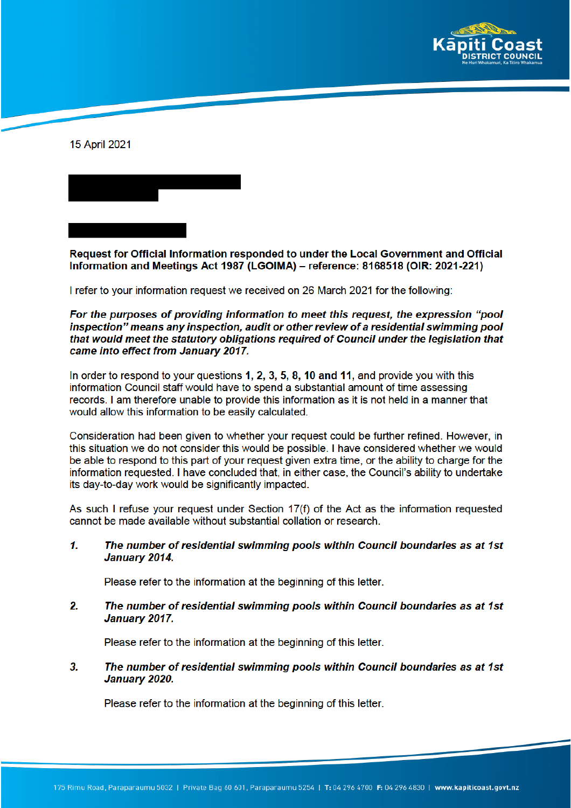



Request for Official Information responded to under the Local Government and Official Information and Meetings Act 1987 (LGOIMA) – reference: 8168518 (OIR: 2021-221)

I refer to your information request we received on 26 March 2021 for the following:

## For the purposes of providing information to meet this request, the expression "pool inspection" means any inspection, audit or other review of a residential swimming pool that would meet the statutory obligations required of Council under the legislation that came into effect from January 2017.

In order to respond to your questions 1, 2, 3, 5, 8, 10 and 11, and provide you with this information Council staff would have to spend a substantial amount of time assessing records. I am therefore unable to provide this information as it is not held in a manner that would allow this information to be easily calculated.

Consideration had been given to whether your request could be further refined. However, in this situation we do not consider this would be possible. I have considered whether we would be able to respond to this part of your request given extra time, or the ability to charge for the information requested. I have concluded that, in either case, the Council's ability to undertake its day-to-day work would be significantly impacted.

As such I refuse your request under Section  $17(f)$  of the Act as the information requested cannot be made available without substantial collation or research.

 $\mathbf{1}$ The number of residential swimming pools within Council boundaries as at 1st January 2014.

Please refer to the information at the beginning of this letter.

 $\overline{2}$ The number of residential swimming pools within Council boundaries as at 1st January 2017.

Please refer to the information at the beginning of this letter.

 $3.$ The number of residential swimming pools within Council boundaries as at 1st January 2020.

Please refer to the information at the beginning of this letter.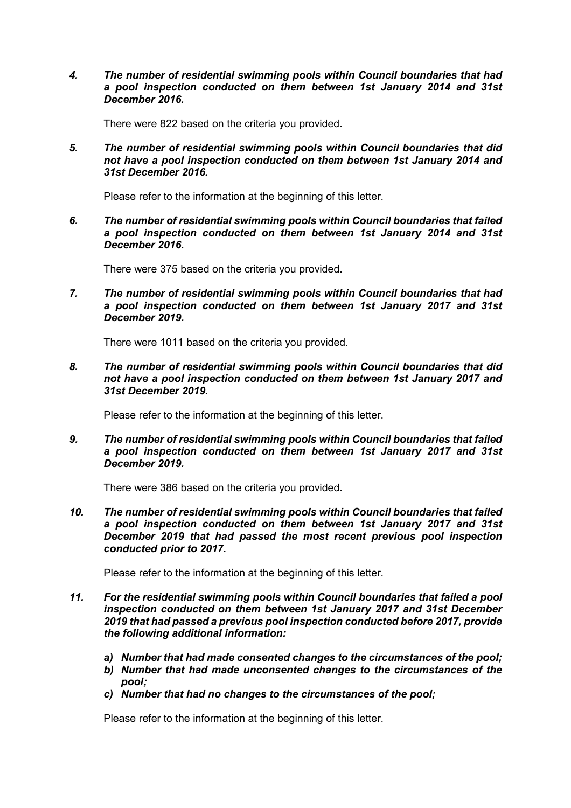*4. The number of residential swimming pools within Council boundaries that had a pool inspection conducted on them between 1st January 2014 and 31st December 2016.* 

There were 822 based on the criteria you provided.

*5. The number of residential swimming pools within Council boundaries that did not have a pool inspection conducted on them between 1st January 2014 and 31st December 2016.* 

Please refer to the information at the beginning of this letter.

*6. The number of residential swimming pools within Council boundaries that failed a pool inspection conducted on them between 1st January 2014 and 31st December 2016.*

There were 375 based on the criteria you provided.

*7. The number of residential swimming pools within Council boundaries that had a pool inspection conducted on them between 1st January 2017 and 31st December 2019.* 

There were 1011 based on the criteria you provided.

*8. The number of residential swimming pools within Council boundaries that did not have a pool inspection conducted on them between 1st January 2017 and 31st December 2019.* 

Please refer to the information at the beginning of this letter.

*9. The number of residential swimming pools within Council boundaries that failed a pool inspection conducted on them between 1st January 2017 and 31st December 2019.*

There were 386 based on the criteria you provided.

*10. The number of residential swimming pools within Council boundaries that failed a pool inspection conducted on them between 1st January 2017 and 31st December 2019 that had passed the most recent previous pool inspection conducted prior to 2017.* 

Please refer to the information at the beginning of this letter.

- *11. For the residential swimming pools within Council boundaries that failed a pool inspection conducted on them between 1st January 2017 and 31st December 2019 that had passed a previous pool inspection conducted before 2017, provide the following additional information:*
	- *a) Number that had made consented changes to the circumstances of the pool;*
	- *b) Number that had made unconsented changes to the circumstances of the pool;*
	- *c) Number that had no changes to the circumstances of the pool;*

Please refer to the information at the beginning of this letter.